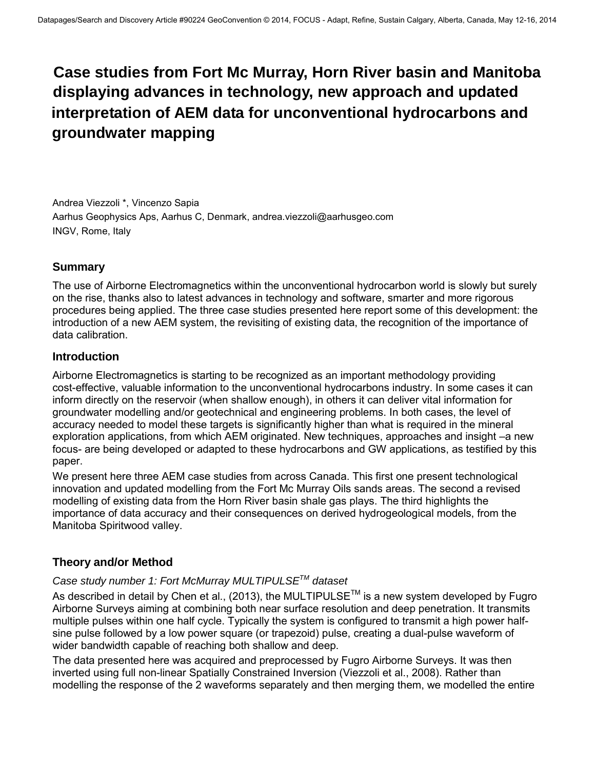# **Case studies from Fort Mc Murray, Horn River basin and Manitoba displaying advances in technology, new approach and updated interpretation of AEM data for unconventional hydrocarbons and groundwater mapping**

Andrea Viezzoli \*, Vincenzo Sapia Aarhus Geophysics Aps, Aarhus C, Denmark, andrea.viezzoli@aarhusgeo.com INGV, Rome, Italy

# **Summary**

The use of Airborne Electromagnetics within the unconventional hydrocarbon world is slowly but surely on the rise, thanks also to latest advances in technology and software, smarter and more rigorous procedures being applied. The three case studies presented here report some of this development: the introduction of a new AEM system, the revisiting of existing data, the recognition of the importance of data calibration.

## **Introduction**

Airborne Electromagnetics is starting to be recognized as an important methodology providing cost-effective, valuable information to the unconventional hydrocarbons industry. In some cases it can inform directly on the reservoir (when shallow enough), in others it can deliver vital information for groundwater modelling and/or geotechnical and engineering problems. In both cases, the level of accuracy needed to model these targets is significantly higher than what is required in the mineral exploration applications, from which AEM originated. New techniques, approaches and insight –a new focus- are being developed or adapted to these hydrocarbons and GW applications, as testified by this paper.

We present here three AEM case studies from across Canada. This first one present technological innovation and updated modelling from the Fort Mc Murray Oils sands areas. The second a revised modelling of existing data from the Horn River basin shale gas plays. The third highlights the importance of data accuracy and their consequences on derived hydrogeological models, from the Manitoba Spiritwood valley.

# **Theory and/or Method**

## *Case study number 1: Fort McMurray MULTIPULSETM dataset*

As described in detail by Chen et al., (2013), the MULTIPULSE<sup>TM</sup> is a new system developed by Fugro Airborne Surveys aiming at combining both near surface resolution and deep penetration. It transmits multiple pulses within one half cycle. Typically the system is configured to transmit a high power halfsine pulse followed by a low power square (or trapezoid) pulse, creating a dual-pulse waveform of wider bandwidth capable of reaching both shallow and deep.

The data presented here was acquired and preprocessed by Fugro Airborne Surveys. It was then inverted using full non-linear Spatially Constrained Inversion (Viezzoli et al., 2008). Rather than modelling the response of the 2 waveforms separately and then merging them, we modelled the entire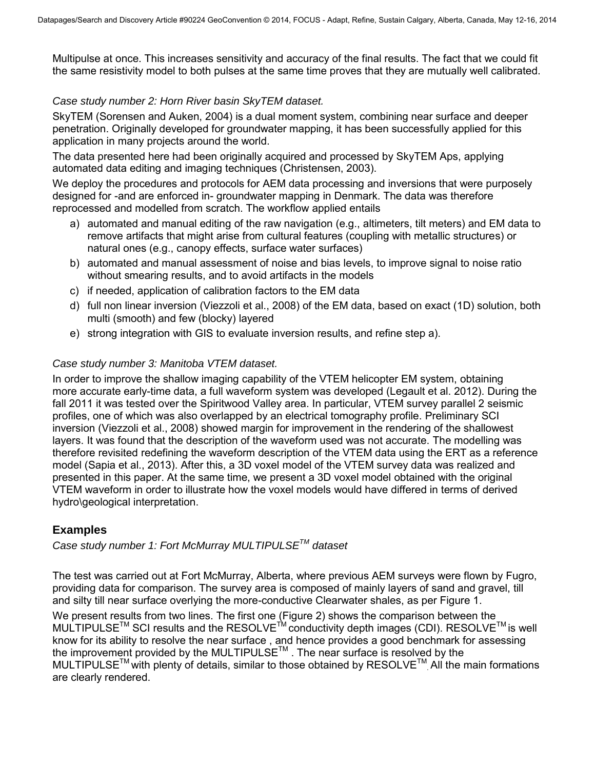Multipulse at once. This increases sensitivity and accuracy of the final results. The fact that we could fit the same resistivity model to both pulses at the same time proves that they are mutually well calibrated.

#### *Case study number 2: Horn River basin SkyTEM dataset.*

SkyTEM (Sorensen and Auken, 2004) is a dual moment system, combining near surface and deeper penetration. Originally developed for groundwater mapping, it has been successfully applied for this application in many projects around the world.

The data presented here had been originally acquired and processed by SkyTEM Aps, applying automated data editing and imaging techniques (Christensen, 2003).

We deploy the procedures and protocols for AEM data processing and inversions that were purposely designed for -and are enforced in- groundwater mapping in Denmark. The data was therefore reprocessed and modelled from scratch. The workflow applied entails

- a) automated and manual editing of the raw navigation (e.g., altimeters, tilt meters) and EM data to remove artifacts that might arise from cultural features (coupling with metallic structures) or natural ones (e.g., canopy effects, surface water surfaces)
- b) automated and manual assessment of noise and bias levels, to improve signal to noise ratio without smearing results, and to avoid artifacts in the models
- c) if needed, application of calibration factors to the EM data
- d) full non linear inversion (Viezzoli et al., 2008) of the EM data, based on exact (1D) solution, both multi (smooth) and few (blocky) layered
- e) strong integration with GIS to evaluate inversion results, and refine step a).

#### *Case study number 3: Manitoba VTEM dataset.*

In order to improve the shallow imaging capability of the VTEM helicopter EM system, obtaining more accurate early-time data, a full waveform system was developed (Legault et al. 2012). During the fall 2011 it was tested over the Spiritwood Valley area. In particular, VTEM survey parallel 2 seismic profiles, one of which was also overlapped by an electrical tomography profile. Preliminary SCI inversion (Viezzoli et al., 2008) showed margin for improvement in the rendering of the shallowest layers. It was found that the description of the waveform used was not accurate. The modelling was therefore revisited redefining the waveform description of the VTEM data using the ERT as a reference model (Sapia et al., 2013). After this, a 3D voxel model of the VTEM survey data was realized and presented in this paper. At the same time, we present a 3D voxel model obtained with the original VTEM waveform in order to illustrate how the voxel models would have differed in terms of derived hydro\geological interpretation.

## **Examples**

*Case study number 1: Fort McMurray MULTIPULSETM dataset* 

The test was carried out at Fort McMurray, Alberta, where previous AEM surveys were flown by Fugro, providing data for comparison. The survey area is composed of mainly layers of sand and gravel, till and silty till near surface overlying the more-conductive Clearwater shales, as per Figure 1.

We present results from two lines. The first one (Figure 2) shows the comparison between the MULTIPULSE<sup>™</sup> SCI results and the RESOLVE<sup>™</sup> conductivity depth images (CDI). RESOLVE<sup>™</sup> is well know for its ability to resolve the near surface , and hence provides a good benchmark for assessing the improvement provided by the MULTIPULSE™. The near surface is resolved by the MULTIPULSE<sup>™</sup> with plenty of details, similar to those obtained by RESOLVE<sup>™</sup> All the main formations are clearly rendered.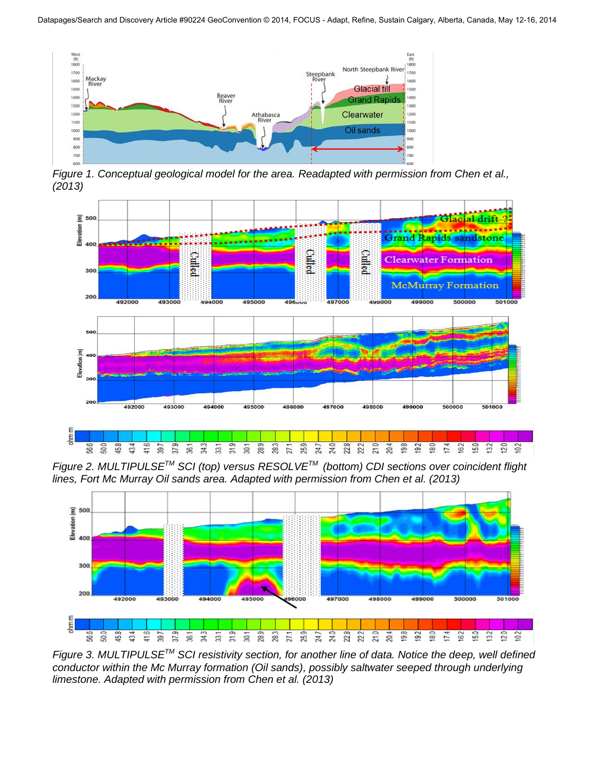

*Figure 1. Conceptual geological model for the area. Readapted with permission from Chen et al., (2013)* 



*Figure 2. MULTIPULSETM SCI (top) versus RESOLVETM (bottom) CDI sections over coincident flight lines, Fort Mc Murray Oil sands area. Adapted with permission from Chen et al. (2013)* 



*Figure 3. MULTIPULSETM SCI resistivity section, for another line of data. Notice the deep, well defined conductor within the Mc Murray formation (Oil sands), possibly saltwater seeped through underlying limestone. Adapted with permission from Chen et al. (2013)*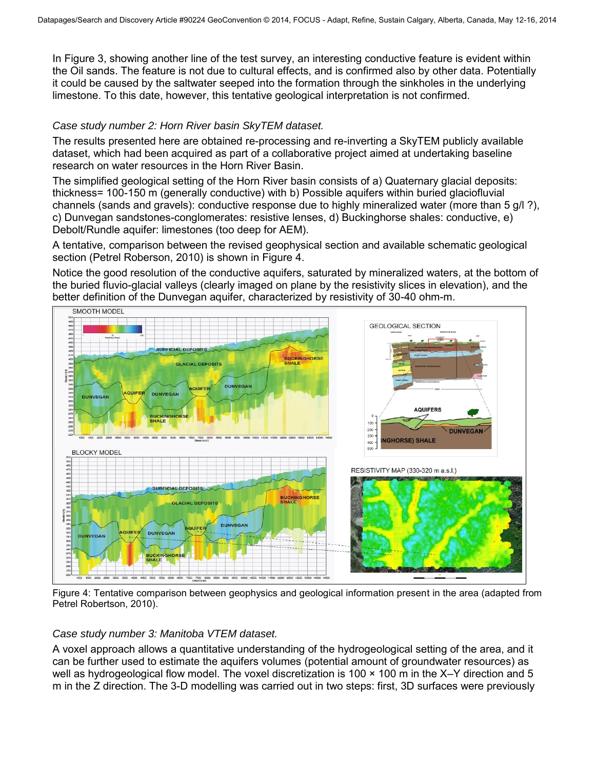In Figure 3, showing another line of the test survey, an interesting conductive feature is evident within the Oil sands. The feature is not due to cultural effects, and is confirmed also by other data. Potentially it could be caused by the saltwater seeped into the formation through the sinkholes in the underlying limestone. To this date, however, this tentative geological interpretation is not confirmed.

#### *Case study number 2: Horn River basin SkyTEM dataset.*

The results presented here are obtained re-processing and re-inverting a SkyTEM publicly available dataset, which had been acquired as part of a collaborative project aimed at undertaking baseline research on water resources in the Horn River Basin.

The simplified geological setting of the Horn River basin consists of a) Quaternary glacial deposits: thickness= 100-150 m (generally conductive) with b) Possible aquifers within buried glaciofluvial channels (sands and gravels): conductive response due to highly mineralized water (more than 5 g/l ?), c) Dunvegan sandstones-conglomerates: resistive lenses, d) Buckinghorse shales: conductive, e) Debolt/Rundle aquifer: limestones (too deep for AEM).

A tentative, comparison between the revised geophysical section and available schematic geological section (Petrel Roberson, 2010) is shown in Figure 4.

Notice the good resolution of the conductive aquifers, saturated by mineralized waters, at the bottom of the buried fluvio-glacial valleys (clearly imaged on plane by the resistivity slices in elevation), and the better definition of the Dunvegan aquifer, characterized by resistivity of 30-40 ohm-m.



Figure 4: Tentative comparison between geophysics and geological information present in the area (adapted from Petrel Robertson, 2010).

#### *Case study number 3: Manitoba VTEM dataset.*

A voxel approach allows a quantitative understanding of the hydrogeological setting of the area, and it can be further used to estimate the aquifers volumes (potential amount of groundwater resources) as well as hydrogeological flow model. The voxel discretization is 100  $\times$  100 m in the X–Y direction and 5 m in the Z direction. The 3-D modelling was carried out in two steps: first, 3D surfaces were previously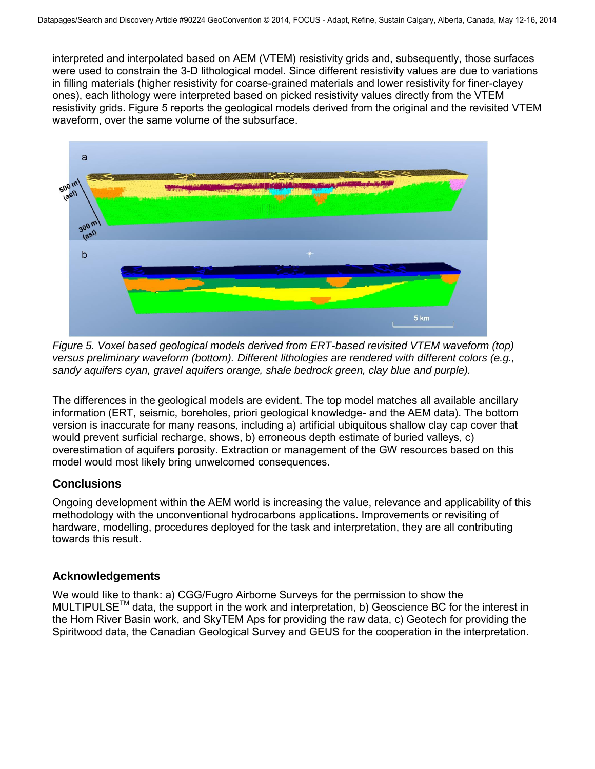interpreted and interpolated based on AEM (VTEM) resistivity grids and, subsequently, those surfaces were used to constrain the 3-D lithological model. Since different resistivity values are due to variations in filling materials (higher resistivity for coarse-grained materials and lower resistivity for finer-clayey ones), each lithology were interpreted based on picked resistivity values directly from the VTEM resistivity grids. Figure 5 reports the geological models derived from the original and the revisited VTEM waveform, over the same volume of the subsurface.



*Figure 5. Voxel based geological models derived from ERT-based revisited VTEM waveform (top) versus preliminary waveform (bottom). Different lithologies are rendered with different colors (e.g., sandy aquifers cyan, gravel aquifers orange, shale bedrock green, clay blue and purple).* 

The differences in the geological models are evident. The top model matches all available ancillary information (ERT, seismic, boreholes, priori geological knowledge- and the AEM data). The bottom version is inaccurate for many reasons, including a) artificial ubiquitous shallow clay cap cover that would prevent surficial recharge, shows, b) erroneous depth estimate of buried valleys, c) overestimation of aquifers porosity. Extraction or management of the GW resources based on this model would most likely bring unwelcomed consequences.

## **Conclusions**

Ongoing development within the AEM world is increasing the value, relevance and applicability of this methodology with the unconventional hydrocarbons applications. Improvements or revisiting of hardware, modelling, procedures deployed for the task and interpretation, they are all contributing towards this result.

## **Acknowledgements**

We would like to thank: a) CGG/Fugro Airborne Surveys for the permission to show the  $MULTIPULSE<sup>TM</sup>$  data, the support in the work and interpretation, b) Geoscience BC for the interest in the Horn River Basin work, and SkyTEM Aps for providing the raw data, c) Geotech for providing the Spiritwood data, the Canadian Geological Survey and GEUS for the cooperation in the interpretation.